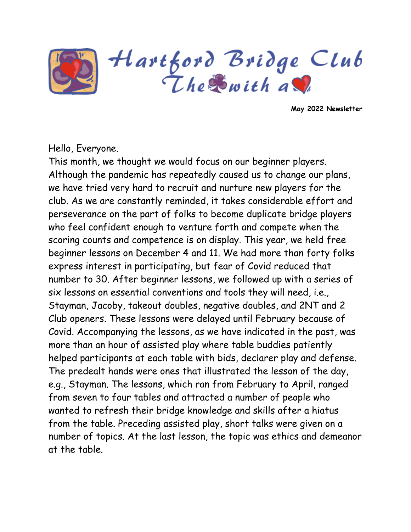

Hartford Bridge Club<br>The Swith as

**May 2022 Newsletter**

#### Hello, Everyone.

This month, we thought we would focus on our beginner players. Although the pandemic has repeatedly caused us to change our plans, we have tried very hard to recruit and nurture new players for the club. As we are constantly reminded, it takes considerable effort and perseverance on the part of folks to become duplicate bridge players who feel confident enough to venture forth and compete when the scoring counts and competence is on display. This year, we held free beginner lessons on December 4 and 11. We had more than forty folks express interest in participating, but fear of Covid reduced that number to 30. After beginner lessons, we followed up with a series of six lessons on essential conventions and tools they will need, i.e., Stayman, Jacoby, takeout doubles, negative doubles, and 2NT and 2 Club openers. These lessons were delayed until February because of Covid. Accompanying the lessons, as we have indicated in the past, was more than an hour of assisted play where table buddies patiently helped participants at each table with bids, declarer play and defense. The predealt hands were ones that illustrated the lesson of the day, e.g., Stayman. The lessons, which ran from February to April, ranged from seven to four tables and attracted a number of people who wanted to refresh their bridge knowledge and skills after a hiatus from the table. Preceding assisted play, short talks were given on a number of topics. At the last lesson, the topic was ethics and demeanor at the table.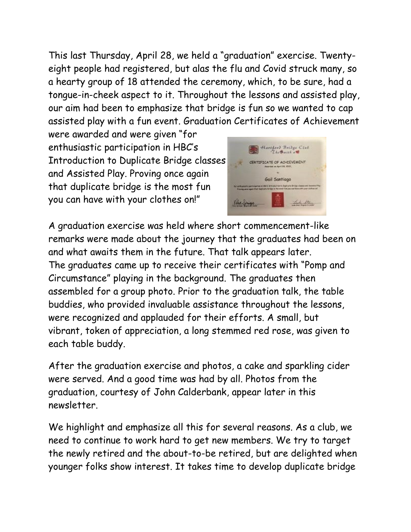This last Thursday, April 28, we held a "graduation" exercise. Twentyeight people had registered, but alas the flu and Covid struck many, so a hearty group of 18 attended the ceremony, which, to be sure, had a tongue-in-cheek aspect to it. Throughout the lessons and assisted play, our aim had been to emphasize that bridge is fun so we wanted to cap assisted play with a fun event. Graduation Certificates of Achievement

were awarded and were given "for enthusiastic participation in HBC's Introduction to Duplicate Bridge classes and Assisted Play. Proving once again that duplicate bridge is the most fun you can have with your clothes on!"



A graduation exercise was held where short commencement-like remarks were made about the journey that the graduates had been on and what awaits them in the future. That talk appears later. The graduates came up to receive their certificates with "Pomp and Circumstance" playing in the background. The graduates then assembled for a group photo. Prior to the graduation talk, the table buddies, who provided invaluable assistance throughout the lessons, were recognized and applauded for their efforts. A small, but vibrant, token of appreciation, a long stemmed red rose, was given to each table buddy.

After the graduation exercise and photos, a cake and sparkling cider were served. And a good time was had by all. Photos from the graduation, courtesy of John Calderbank, appear later in this newsletter.

We highlight and emphasize all this for several reasons. As a club, we need to continue to work hard to get new members. We try to target the newly retired and the about-to-be retired, but are delighted when younger folks show interest. It takes time to develop duplicate bridge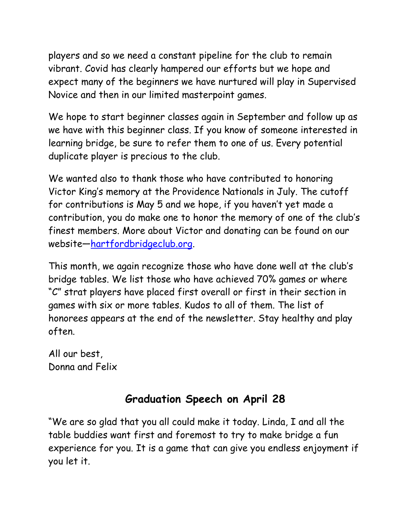players and so we need a constant pipeline for the club to remain vibrant. Covid has clearly hampered our efforts but we hope and expect many of the beginners we have nurtured will play in Supervised Novice and then in our limited masterpoint games.

We hope to start beginner classes again in September and follow up as we have with this beginner class. If you know of someone interested in learning bridge, be sure to refer them to one of us. Every potential duplicate player is precious to the club.

We wanted also to thank those who have contributed to honoring Victor King's memory at the Providence Nationals in July. The cutoff for contributions is May 5 and we hope, if you haven't yet made a contribution, you do make one to honor the memory of one of the club's finest members. More about Victor and donating can be found on our website—[hartfordbridgeclub.org.](http://hartfordbridgeclub.org/)

This month, we again recognize those who have done well at the club's bridge tables. We list those who have achieved 70% games or where "C" strat players have placed first overall or first in their section in games with six or more tables. Kudos to all of them. The list of honorees appears at the end of the newsletter. Stay healthy and play often.

All our best, Donna and Felix

# **Graduation Speech on April 28**

"We are so glad that you all could make it today. Linda, I and all the table buddies want first and foremost to try to make bridge a fun experience for you. It is a game that can give you endless enjoyment if you let it.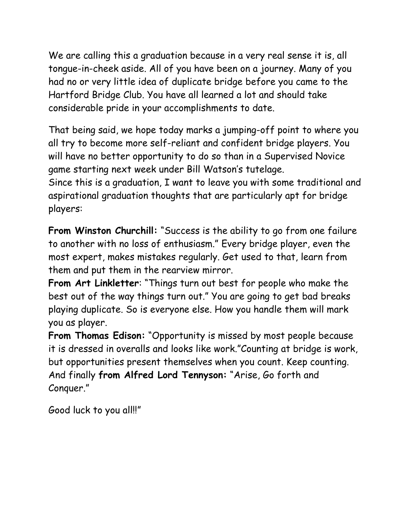We are calling this a graduation because in a very real sense it is, all tongue-in-cheek aside. All of you have been on a journey. Many of you had no or very little idea of duplicate bridge before you came to the Hartford Bridge Club. You have all learned a lot and should take considerable pride in your accomplishments to date.

That being said, we hope today marks a jumping-off point to where you all try to become more self-reliant and confident bridge players. You will have no better opportunity to do so than in a Supervised Novice game starting next week under Bill Watson's tutelage.

Since this is a graduation, I want to leave you with some traditional and aspirational graduation thoughts that are particularly apt for bridge players:

**From Winston Churchill:** "Success is the ability to go from one failure to another with no loss of enthusiasm." Every bridge player, even the most expert, makes mistakes regularly. Get used to that, learn from them and put them in the rearview mirror.

**From Art Linkletter**: "Things turn out best for people who make the best out of the way things turn out." You are going to get bad breaks playing duplicate. So is everyone else. How you handle them will mark you as player.

**From Thomas Edison:** "Opportunity is missed by most people because it is dressed in overalls and looks like work."Counting at bridge is work, but opportunities present themselves when you count. Keep counting. And finally **from Alfred Lord Tennyson:** "Arise, Go forth and Conquer."

Good luck to you all!!"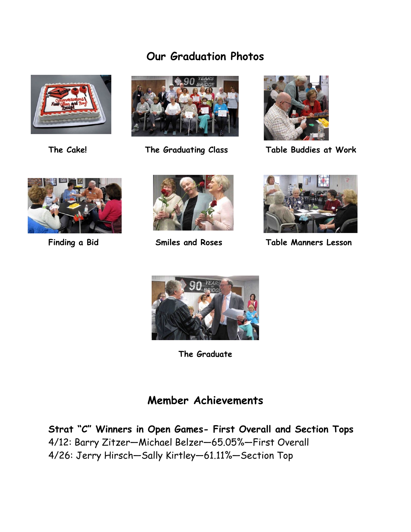## **Our Graduation Photos**







**The Cake! The Graduating Class Table Buddies at Work**







**Finding a Bid Smiles and Roses Table Manners Lesson**



**The Graduate**

## **Member Achievements**

**Strat "C" Winners in Open Games- First Overall and Section Tops** 4/12: Barry Zitzer—Michael Belzer—65.05%—First Overall 4/26: Jerry Hirsch—Sally Kirtley—61.11%—Section Top